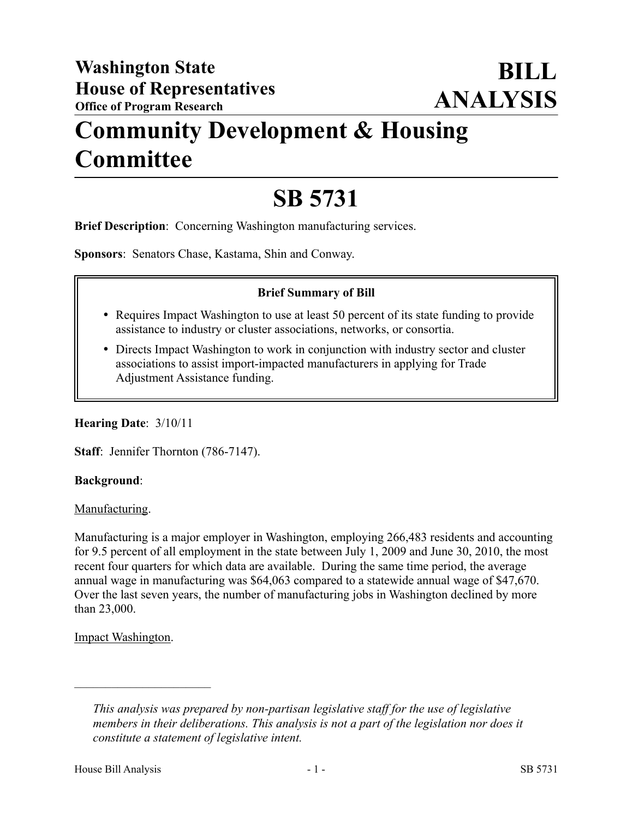# **Community Development & Housing Committee**

# **SB 5731**

**Brief Description**: Concerning Washington manufacturing services.

**Sponsors**: Senators Chase, Kastama, Shin and Conway.

## **Brief Summary of Bill**

- Requires Impact Washington to use at least 50 percent of its state funding to provide assistance to industry or cluster associations, networks, or consortia.
- Directs Impact Washington to work in conjunction with industry sector and cluster associations to assist import-impacted manufacturers in applying for Trade Adjustment Assistance funding.

#### **Hearing Date**: 3/10/11

**Staff**: Jennifer Thornton (786-7147).

#### **Background**:

#### Manufacturing.

Manufacturing is a major employer in Washington, employing 266,483 residents and accounting for 9.5 percent of all employment in the state between July 1, 2009 and June 30, 2010, the most recent four quarters for which data are available. During the same time period, the average annual wage in manufacturing was \$64,063 compared to a statewide annual wage of \$47,670. Over the last seven years, the number of manufacturing jobs in Washington declined by more than 23,000.

# Impact Washington.

––––––––––––––––––––––

*This analysis was prepared by non-partisan legislative staff for the use of legislative members in their deliberations. This analysis is not a part of the legislation nor does it constitute a statement of legislative intent.*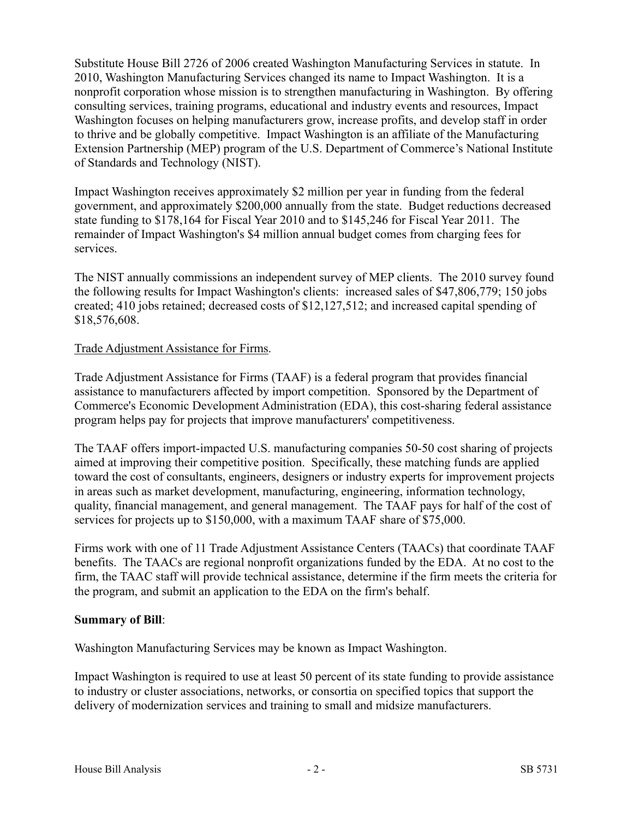Substitute House Bill 2726 of 2006 created Washington Manufacturing Services in statute. In 2010, Washington Manufacturing Services changed its name to Impact Washington. It is a nonprofit corporation whose mission is to strengthen manufacturing in Washington. By offering consulting services, training programs, educational and industry events and resources, Impact Washington focuses on helping manufacturers grow, increase profits, and develop staff in order to thrive and be globally competitive. Impact Washington is an affiliate of the Manufacturing Extension Partnership (MEP) program of the U.S. Department of Commerce's National Institute of Standards and Technology (NIST).

Impact Washington receives approximately \$2 million per year in funding from the federal government, and approximately \$200,000 annually from the state. Budget reductions decreased state funding to \$178,164 for Fiscal Year 2010 and to \$145,246 for Fiscal Year 2011. The remainder of Impact Washington's \$4 million annual budget comes from charging fees for services.

The NIST annually commissions an independent survey of MEP clients. The 2010 survey found the following results for Impact Washington's clients: increased sales of \$47,806,779; 150 jobs created; 410 jobs retained; decreased costs of \$12,127,512; and increased capital spending of \$18,576,608.

## Trade Adjustment Assistance for Firms.

Trade Adjustment Assistance for Firms (TAAF) is a federal program that provides financial assistance to manufacturers affected by import competition. Sponsored by the Department of Commerce's Economic Development Administration (EDA), this cost-sharing federal assistance program helps pay for projects that improve manufacturers' competitiveness.

The TAAF offers import-impacted U.S. manufacturing companies 50-50 cost sharing of projects aimed at improving their competitive position. Specifically, these matching funds are applied toward the cost of consultants, engineers, designers or industry experts for improvement projects in areas such as market development, manufacturing, engineering, information technology, quality, financial management, and general management. The TAAF pays for half of the cost of services for projects up to \$150,000, with a maximum TAAF share of \$75,000.

Firms work with one of 11 Trade Adjustment Assistance Centers (TAACs) that coordinate TAAF benefits. The TAACs are regional nonprofit organizations funded by the EDA. At no cost to the firm, the TAAC staff will provide technical assistance, determine if the firm meets the criteria for the program, and submit an application to the EDA on the firm's behalf.

#### **Summary of Bill**:

Washington Manufacturing Services may be known as Impact Washington.

Impact Washington is required to use at least 50 percent of its state funding to provide assistance to industry or cluster associations, networks, or consortia on specified topics that support the delivery of modernization services and training to small and midsize manufacturers.